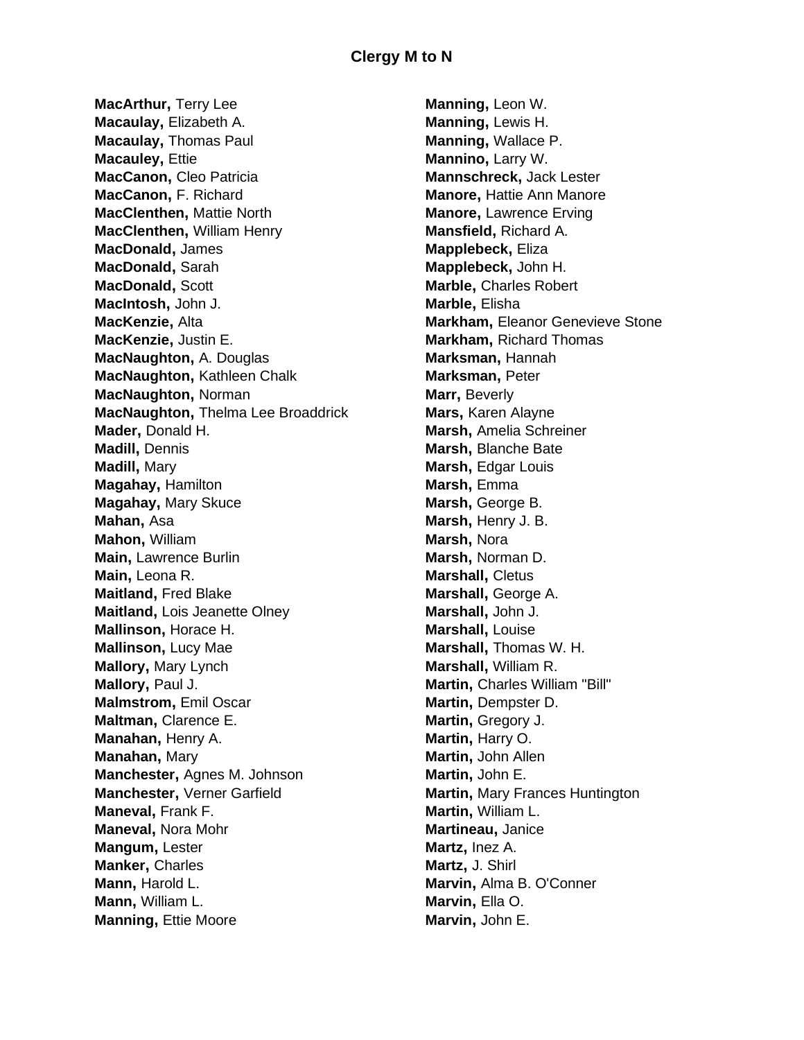**MacArthur,** Terry Lee **Macaulay,** Elizabeth A. **Macaulay,** Thomas Paul **Macauley,** Ettie **MacCanon,** Cleo Patricia **MacCanon,** F. Richard **MacClenthen,** Mattie North **MacClenthen,** William Henry **MacDonald,** James **MacDonald,** Sarah **MacDonald,** Scott **MacIntosh,** John J. **MacKenzie,** Alta **MacKenzie,** Justin E. **MacNaughton,** A. Douglas **MacNaughton,** Kathleen Chalk **MacNaughton,** Norman **MacNaughton,** Thelma Lee Broaddrick **Mader,** Donald H. **Madill,** Dennis **Madill,** Mary **Magahay,** Hamilton **Magahay,** Mary Skuce **Mahan,** Asa **Mahon,** William **Main,** Lawrence Burlin **Main,** Leona R. **Maitland,** Fred Blake **Maitland,** Lois Jeanette Olney **Mallinson,** Horace H. **Mallinson,** Lucy Mae **Mallory,** Mary Lynch **Mallory,** Paul J. **Malmstrom,** Emil Oscar **Maltman,** Clarence E. **Manahan,** Henry A. **Manahan,** Mary **Manchester,** Agnes M. Johnson **Manchester,** Verner Garfield **Maneval,** Frank F. **Maneval,** Nora Mohr **Mangum,** Lester **Manker,** Charles **Mann,** Harold L. **Mann,** William L. **Manning, Ettie Moore** 

**Manning,** Leon W. **Manning,** Lewis H. **Manning,** Wallace P. **Mannino,** Larry W. **Mannschreck,** Jack Lester **Manore,** Hattie Ann Manore **Manore,** Lawrence Erving **Mansfield,** Richard A. **Mapplebeck,** Eliza **Mapplebeck,** John H. **Marble,** Charles Robert **Marble,** Elisha **Markham,** Eleanor Genevieve Stone **Markham,** Richard Thomas **Marksman,** Hannah **Marksman,** Peter **Marr,** Beverly **Mars,** Karen Alayne **Marsh,** Amelia Schreiner **Marsh,** Blanche Bate **Marsh,** Edgar Louis **Marsh,** Emma **Marsh,** George B. **Marsh,** Henry J. B. **Marsh,** Nora **Marsh,** Norman D. **Marshall,** Cletus **Marshall,** George A. **Marshall,** John J. **Marshall,** Louise **Marshall,** Thomas W. H. **Marshall,** William R. **Martin,** Charles William "Bill" **Martin,** Dempster D. **Martin,** Gregory J. **Martin,** Harry O. **Martin,** John Allen **Martin,** John E. **Martin,** Mary Frances Huntington **Martin,** William L. **Martineau,** Janice **Martz,** Inez A. **Martz,** J. Shirl **Marvin,** Alma B. O'Conner **Marvin,** Ella O. **Marvin,** John E.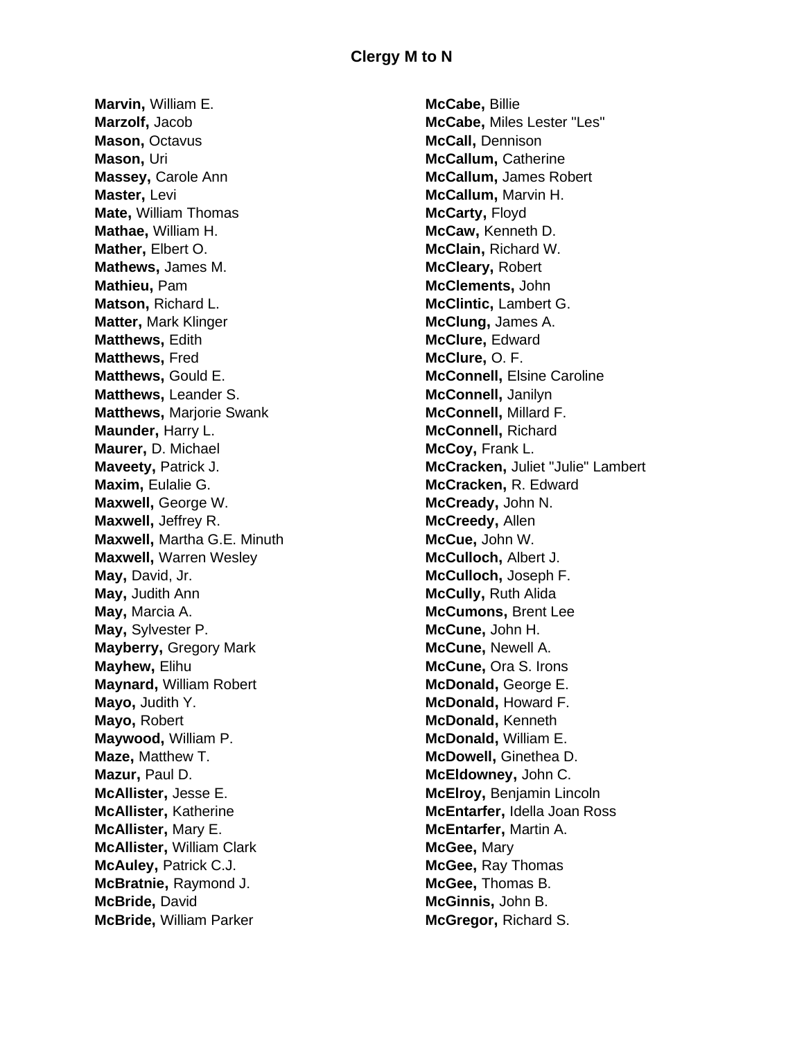**Marvin,** William E. **Marzolf,** Jacob **Mason,** Octavus **Mason,** Uri **Massey,** Carole Ann **Master,** Levi **Mate,** William Thomas **Mathae,** William H. **Mather,** Elbert O. **Mathews,** James M. **Mathieu,** Pam **Matson,** Richard L. **Matter,** Mark Klinger **Matthews,** Edith **Matthews,** Fred **Matthews,** Gould E. **Matthews,** Leander S. **Matthews,** Marjorie Swank **Maunder,** Harry L. **Maurer,** D. Michael **Maveety,** Patrick J. **Maxim,** Eulalie G. **Maxwell,** George W. **Maxwell,** Jeffrey R. **Maxwell,** Martha G.E. Minuth **Maxwell,** Warren Wesley **May,** David, Jr. **May,** Judith Ann **May,** Marcia A. **May,** Sylvester P. **Mayberry,** Gregory Mark **Mayhew,** Elihu **Maynard,** William Robert **Mayo,** Judith Y. **Mayo,** Robert **Maywood,** William P. **Maze,** Matthew T. **Mazur,** Paul D. **McAllister,** Jesse E. **McAllister,** Katherine **McAllister,** Mary E. **McAllister,** William Clark **McAuley,** Patrick C.J. **McBratnie,** Raymond J. **McBride,** David **McBride,** William Parker

**McCabe,** Billie **McCabe,** Miles Lester "Les" **McCall,** Dennison **McCallum,** Catherine **McCallum,** James Robert **McCallum,** Marvin H. **McCarty,** Floyd **McCaw,** Kenneth D. **McClain,** Richard W. **McCleary,** Robert **McClements,** John **McClintic,** Lambert G. **McClung,** James A. **McClure,** Edward **McClure,** O. F. **McConnell,** Elsine Caroline **McConnell,** Janilyn **McConnell,** Millard F. **McConnell,** Richard **McCoy,** Frank L. **McCracken,** Juliet "Julie" Lambert **McCracken,** R. Edward **McCready,** John N. **McCreedy,** Allen **McCue,** John W. **McCulloch,** Albert J. **McCulloch,** Joseph F. **McCully,** Ruth Alida **McCumons,** Brent Lee **McCune,** John H. **McCune,** Newell A. **McCune,** Ora S. Irons **McDonald,** George E. **McDonald,** Howard F. **McDonald,** Kenneth **McDonald,** William E. **McDowell,** Ginethea D. **McEldowney,** John C. **McElroy,** Benjamin Lincoln **McEntarfer,** Idella Joan Ross **McEntarfer,** Martin A. **McGee,** Mary **McGee,** Ray Thomas **McGee,** Thomas B. **McGinnis,** John B. **McGregor,** Richard S.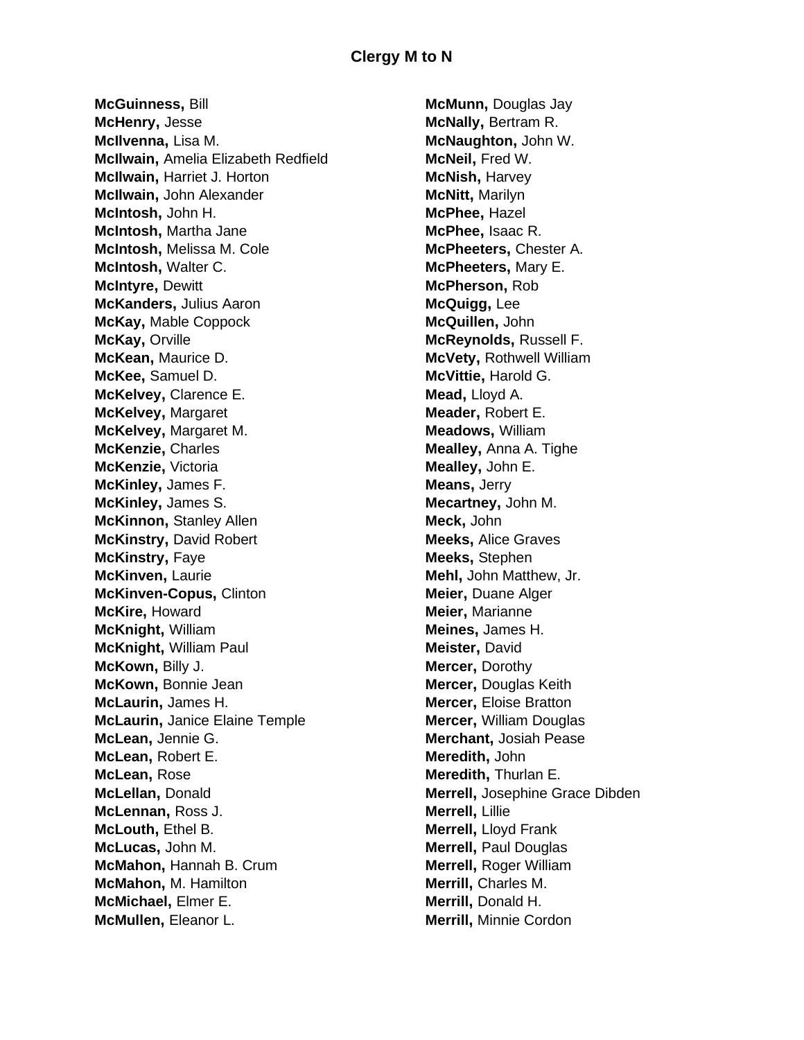**McGuinness,** Bill **McHenry,** Jesse **McIlvenna,** Lisa M. **McIlwain,** Amelia Elizabeth Redfield **McIlwain,** Harriet J. Horton **McIlwain,** John Alexander **McIntosh,** John H. **McIntosh,** Martha Jane **McIntosh,** Melissa M. Cole **McIntosh,** Walter C. **McIntyre,** Dewitt **McKanders,** Julius Aaron **McKay,** Mable Coppock **McKay,** Orville **McKean,** Maurice D. **McKee,** Samuel D. **McKelvey,** Clarence E. **McKelvey,** Margaret **McKelvey,** Margaret M. **McKenzie,** Charles **McKenzie,** Victoria **McKinley,** James F. **McKinley,** James S. **McKinnon,** Stanley Allen **McKinstry,** David Robert **McKinstry,** Faye **McKinven,** Laurie **McKinven-Copus,** Clinton **McKire,** Howard **McKnight,** William **McKnight,** William Paul **McKown,** Billy J. **McKown,** Bonnie Jean **McLaurin,** James H. **McLaurin,** Janice Elaine Temple **McLean,** Jennie G. **McLean,** Robert E. **McLean,** Rose **McLellan,** Donald **McLennan,** Ross J. **McLouth,** Ethel B. **McLucas,** John M. **McMahon,** Hannah B. Crum **McMahon,** M. Hamilton **McMichael,** Elmer E. **McMullen,** Eleanor L.

**McMunn,** Douglas Jay **McNally,** Bertram R. **McNaughton,** John W. **McNeil,** Fred W. **McNish,** Harvey **McNitt,** Marilyn **McPhee,** Hazel **McPhee,** Isaac R. **McPheeters,** Chester A. **McPheeters,** Mary E. **McPherson,** Rob **McQuigg,** Lee **McQuillen,** John **McReynolds,** Russell F. **McVety,** Rothwell William **McVittie,** Harold G. **Mead,** Lloyd A. **Meader,** Robert E. **Meadows,** William **Mealley,** Anna A. Tighe **Mealley,** John E. **Means,** Jerry **Mecartney,** John M. **Meck,** John **Meeks,** Alice Graves **Meeks,** Stephen **Mehl,** John Matthew, Jr. **Meier,** Duane Alger **Meier,** Marianne **Meines,** James H. **Meister,** David **Mercer,** Dorothy **Mercer,** Douglas Keith **Mercer,** Eloise Bratton **Mercer,** William Douglas **Merchant,** Josiah Pease **Meredith,** John **Meredith,** Thurlan E. **Merrell,** Josephine Grace Dibden **Merrell,** Lillie **Merrell,** Lloyd Frank **Merrell,** Paul Douglas **Merrell,** Roger William **Merrill,** Charles M. **Merrill,** Donald H. **Merrill,** Minnie Cordon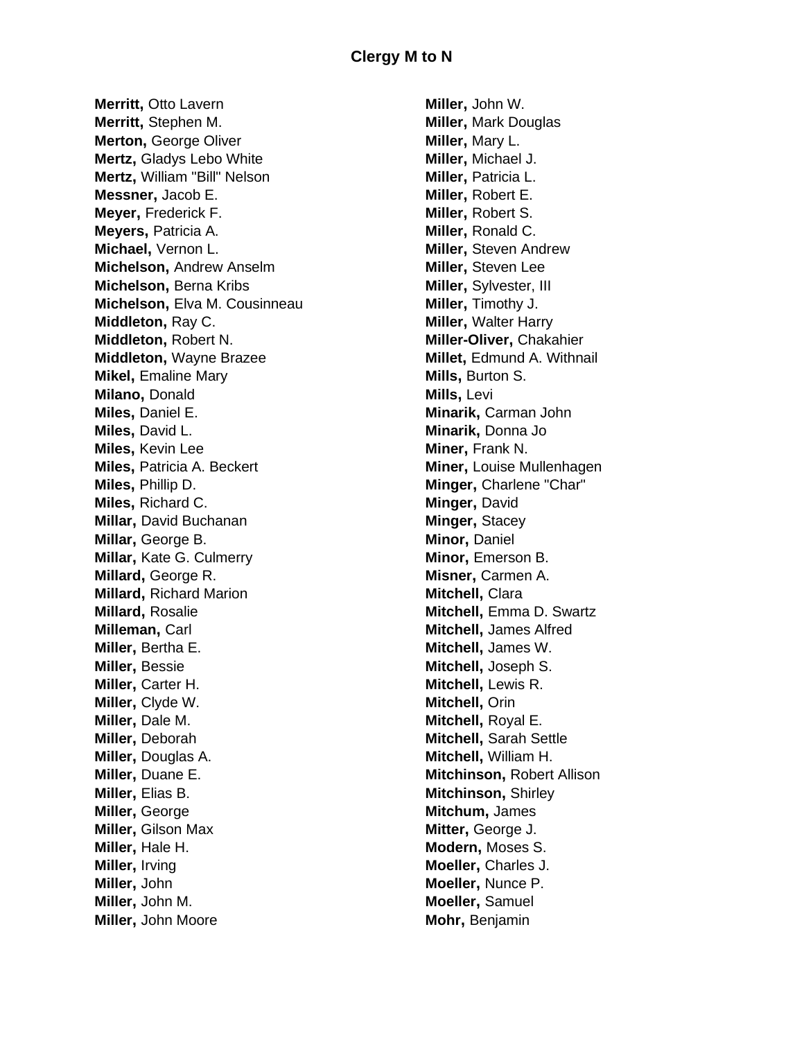**Merritt,** Otto Lavern **Merritt,** Stephen M. **Merton,** George Oliver **Mertz,** Gladys Lebo White **Mertz,** William "Bill" Nelson **Messner,** Jacob E. **Meyer,** Frederick F. **Meyers,** Patricia A. **Michael,** Vernon L. **Michelson,** Andrew Anselm **Michelson,** Berna Kribs **Michelson,** Elva M. Cousinneau **Middleton,** Ray C. **Middleton,** Robert N. **Middleton,** Wayne Brazee **Mikel**, **Emaline** Mary **Milano,** Donald **Miles,** Daniel E. **Miles,** David L. **Miles,** Kevin Lee **Miles,** Patricia A. Beckert **Miles,** Phillip D. **Miles,** Richard C. **Millar,** David Buchanan **Millar,** George B. **Millar,** Kate G. Culmerry **Millard,** George R. **Millard,** Richard Marion **Millard,** Rosalie **Milleman,** Carl **Miller,** Bertha E. **Miller,** Bessie **Miller,** Carter H. **Miller,** Clyde W. **Miller,** Dale M. **Miller,** Deborah **Miller,** Douglas A. **Miller,** Duane E. **Miller,** Elias B. **Miller,** George **Miller,** Gilson Max **Miller,** Hale H. **Miller,** Irving **Miller,** John **Miller,** John M. **Miller,** John Moore

**Miller,** John W. **Miller,** Mark Douglas **Miller,** Mary L. **Miller,** Michael J. **Miller,** Patricia L. **Miller,** Robert E. **Miller,** Robert S. **Miller,** Ronald C. **Miller,** Steven Andrew **Miller,** Steven Lee **Miller,** Sylvester, III **Miller,** Timothy J. **Miller,** Walter Harry **Miller-Oliver,** Chakahier **Millet,** Edmund A. Withnail **Mills,** Burton S. **Mills,** Levi **Minarik,** Carman John **Minarik,** Donna Jo **Miner,** Frank N. **Miner,** Louise Mullenhagen **Minger,** Charlene "Char" **Minger,** David **Minger,** Stacey **Minor,** Daniel **Minor,** Emerson B. **Misner,** Carmen A. **Mitchell,** Clara **Mitchell,** Emma D. Swartz **Mitchell,** James Alfred **Mitchell,** James W. **Mitchell,** Joseph S. **Mitchell,** Lewis R. **Mitchell,** Orin **Mitchell,** Royal E. **Mitchell,** Sarah Settle **Mitchell,** William H. **Mitchinson,** Robert Allison **Mitchinson,** Shirley **Mitchum,** James **Mitter,** George J. **Modern,** Moses S. **Moeller,** Charles J. **Moeller,** Nunce P. **Moeller,** Samuel **Mohr,** Benjamin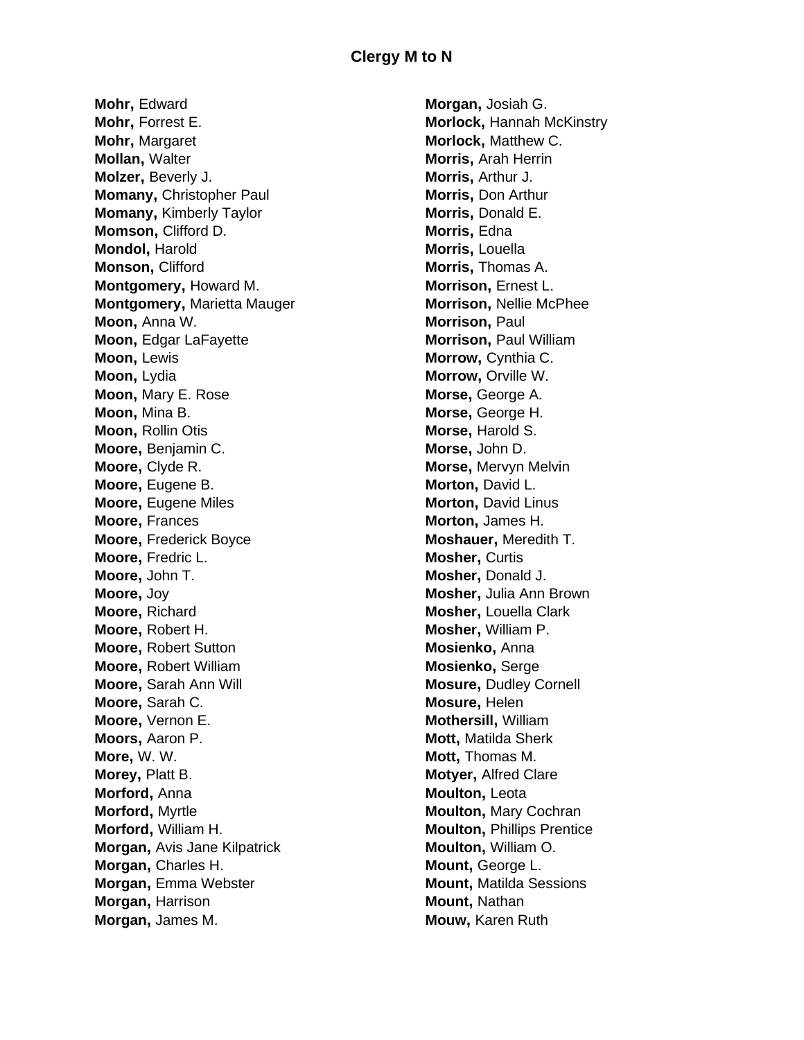**Mohr,** Edward **Mohr,** Forrest E. **Mohr,** Margaret **Mollan,** Walter **Molzer,** Beverly J. **Momany,** Christopher Paul **Momany,** Kimberly Taylor **Momson,** Clifford D. **Mondol,** Harold **Monson,** Clifford **Montgomery,** Howard M. **Montgomery,** Marietta Mauger **Moon,** Anna W. **Moon,** Edgar LaFayette **Moon,** Lewis **Moon,** Lydia **Moon,** Mary E. Rose **Moon,** Mina B. **Moon,** Rollin Otis **Moore,** Benjamin C. **Moore,** Clyde R. **Moore,** Eugene B. **Moore, Eugene Miles Moore,** Frances **Moore,** Frederick Boyce **Moore,** Fredric L. **Moore,** John T. **Moore,** Joy **Moore,** Richard **Moore,** Robert H. **Moore,** Robert Sutton **Moore,** Robert William **Moore,** Sarah Ann Will **Moore,** Sarah C. **Moore,** Vernon E. **Moors,** Aaron P. **More,** W. W. **Morey,** Platt B. **Morford,** Anna **Morford,** Myrtle **Morford,** William H. **Morgan,** Avis Jane Kilpatrick **Morgan,** Charles H. **Morgan,** Emma Webster **Morgan,** Harrison **Morgan,** James M.

**Morgan,** Josiah G. **Morlock,** Hannah McKinstry **Morlock,** Matthew C. **Morris,** Arah Herrin **Morris,** Arthur J. **Morris,** Don Arthur **Morris,** Donald E. **Morris,** Edna **Morris,** Louella **Morris,** Thomas A. **Morrison,** Ernest L. **Morrison,** Nellie McPhee **Morrison,** Paul **Morrison,** Paul William **Morrow,** Cynthia C. **Morrow,** Orville W. **Morse,** George A. **Morse,** George H. **Morse,** Harold S. **Morse,** John D. **Morse,** Mervyn Melvin **Morton,** David L. **Morton,** David Linus **Morton,** James H. **Moshauer,** Meredith T. **Mosher,** Curtis **Mosher,** Donald J. **Mosher,** Julia Ann Brown **Mosher,** Louella Clark **Mosher,** William P. **Mosienko,** Anna **Mosienko,** Serge **Mosure,** Dudley Cornell **Mosure,** Helen **Mothersill,** William **Mott,** Matilda Sherk **Mott,** Thomas M. **Motyer,** Alfred Clare **Moulton,** Leota **Moulton,** Mary Cochran **Moulton,** Phillips Prentice **Moulton,** William O. **Mount,** George L. **Mount,** Matilda Sessions **Mount,** Nathan **Mouw,** Karen Ruth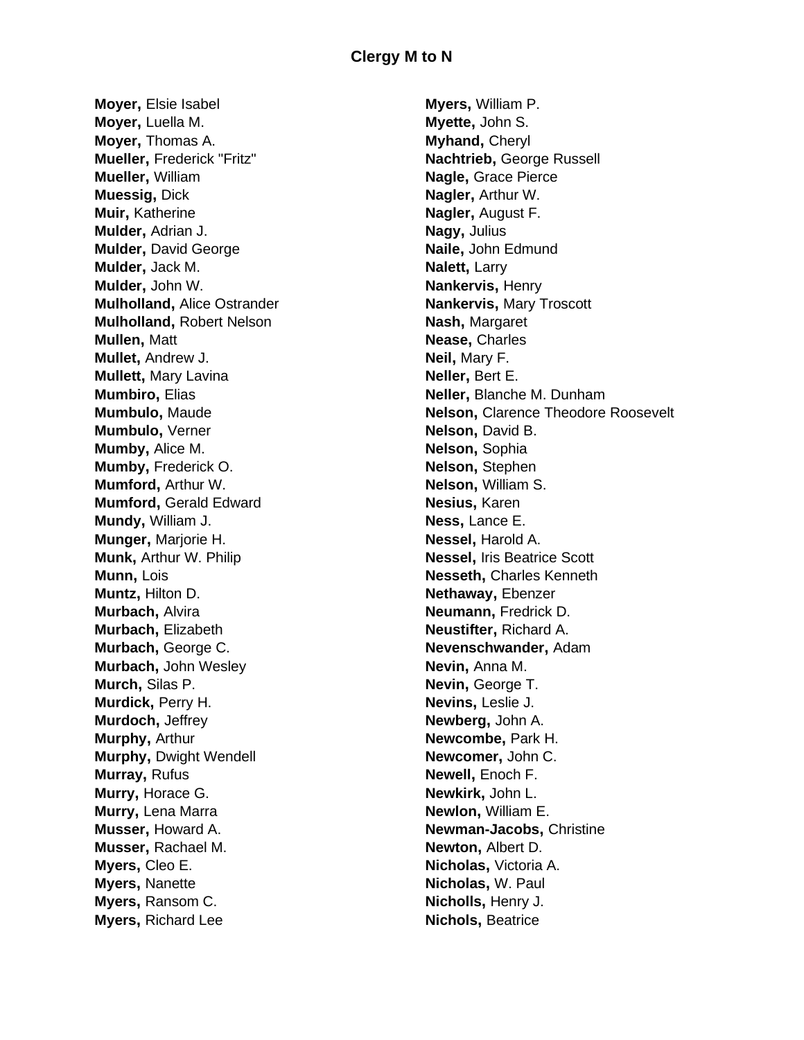**Moyer,** Elsie Isabel **Moyer,** Luella M. **Moyer,** Thomas A. **Mueller,** Frederick "Fritz" **Mueller,** William **Muessig,** Dick **Muir,** Katherine **Mulder,** Adrian J. **Mulder,** David George **Mulder,** Jack M. **Mulder,** John W. **Mulholland,** Alice Ostrander **Mulholland,** Robert Nelson **Mullen,** Matt **Mullet,** Andrew J. **Mullett,** Mary Lavina **Mumbiro,** Elias **Mumbulo,** Maude **Mumbulo,** Verner **Mumby,** Alice M. **Mumby,** Frederick O. **Mumford,** Arthur W. **Mumford,** Gerald Edward **Mundy,** William J. **Munger,** Marjorie H. **Munk,** Arthur W. Philip **Munn,** Lois **Muntz,** Hilton D. **Murbach,** Alvira **Murbach,** Elizabeth **Murbach,** George C. **Murbach,** John Wesley **Murch,** Silas P. **Murdick,** Perry H. **Murdoch,** Jeffrey **Murphy,** Arthur **Murphy,** Dwight Wendell **Murray,** Rufus **Murry,** Horace G. **Murry,** Lena Marra **Musser,** Howard A. **Musser,** Rachael M. **Myers,** Cleo E. **Myers,** Nanette **Myers,** Ransom C. **Myers,** Richard Lee

**Myers,** William P. **Myette,** John S. **Myhand,** Cheryl **Nachtrieb,** George Russell **Nagle,** Grace Pierce **Nagler,** Arthur W. **Nagler,** August F. **Nagy,** Julius **Naile,** John Edmund **Nalett,** Larry **Nankervis,** Henry **Nankervis,** Mary Troscott **Nash,** Margaret **Nease,** Charles **Neil,** Mary F. **Neller,** Bert E. **Neller,** Blanche M. Dunham **Nelson,** Clarence Theodore Roosevelt **Nelson,** David B. **Nelson,** Sophia **Nelson,** Stephen **Nelson,** William S. **Nesius,** Karen **Ness,** Lance E. **Nessel,** Harold A. **Nessel,** Iris Beatrice Scott **Nesseth,** Charles Kenneth **Nethaway,** Ebenzer **Neumann,** Fredrick D. **Neustifter,** Richard A. **Nevenschwander,** Adam **Nevin,** Anna M. **Nevin,** George T. **Nevins,** Leslie J. **Newberg,** John A. **Newcombe,** Park H. **Newcomer,** John C. **Newell,** Enoch F. **Newkirk,** John L. **Newlon,** William E. **Newman-Jacobs,** Christine **Newton,** Albert D. **Nicholas,** Victoria A. **Nicholas,** W. Paul **Nicholls,** Henry J. **Nichols,** Beatrice